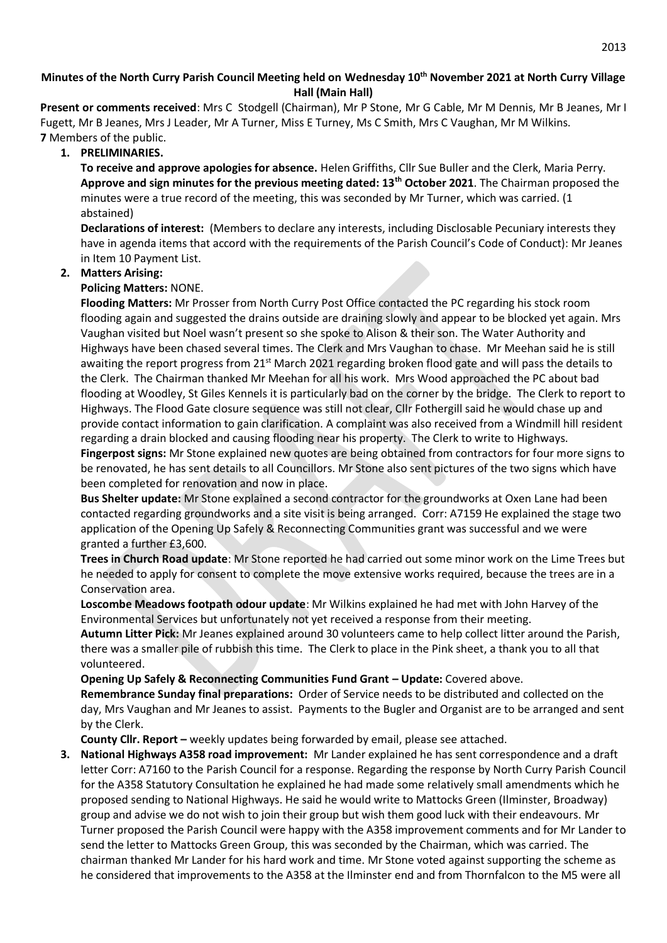# **Minutes of the North Curry Parish Council Meeting held on Wednesday 10th November 2021 at North Curry Village Hall (Main Hall)**

**Present or comments received**: Mrs C Stodgell (Chairman), Mr P Stone, Mr G Cable, Mr M Dennis, Mr B Jeanes, Mr I Fugett, Mr B Jeanes, Mrs J Leader, Mr A Turner, Miss E Turney, Ms C Smith, Mrs C Vaughan, Mr M Wilkins. **7** Members of the public.

## **1. PRELIMINARIES.**

**To receive and approve apologies for absence.** Helen Griffiths, Cllr Sue Buller and the Clerk, Maria Perry. **Approve and sign minutes for the previous meeting dated: 13th October 2021**. The Chairman proposed the minutes were a true record of the meeting, this was seconded by Mr Turner, which was carried. (1 abstained)

**Declarations of interest:** (Members to declare any interests, including Disclosable Pecuniary interests they have in agenda items that accord with the requirements of the Parish Council's Code of Conduct): Mr Jeanes in Item 10 Payment List.

#### **2. Matters Arising:**

#### **Policing Matters:** NONE.

**Flooding Matters:** Mr Prosser from North Curry Post Office contacted the PC regarding his stock room flooding again and suggested the drains outside are draining slowly and appear to be blocked yet again. Mrs Vaughan visited but Noel wasn't present so she spoke to Alison & their son. The Water Authority and Highways have been chased several times. The Clerk and Mrs Vaughan to chase. Mr Meehan said he is still awaiting the report progress from 21<sup>st</sup> March 2021 regarding broken flood gate and will pass the details to the Clerk. The Chairman thanked Mr Meehan for all his work. Mrs Wood approached the PC about bad flooding at Woodley, St Giles Kennels it is particularly bad on the corner by the bridge. The Clerk to report to Highways. The Flood Gate closure sequence was still not clear, Cllr Fothergill said he would chase up and provide contact information to gain clarification. A complaint was also received from a Windmill hill resident regarding a drain blocked and causing flooding near his property. The Clerk to write to Highways. **Fingerpost signs:** Mr Stone explained new quotes are being obtained from contractors for four more signs to be renovated, he has sent details to all Councillors. Mr Stone also sent pictures of the two signs which have

been completed for renovation and now in place.

**Bus Shelter update:** Mr Stone explained a second contractor for the groundworks at Oxen Lane had been contacted regarding groundworks and a site visit is being arranged. Corr: A7159 He explained the stage two application of the Opening Up Safely & Reconnecting Communities grant was successful and we were granted a further £3,600.

**Trees in Church Road update**: Mr Stone reported he had carried out some minor work on the Lime Trees but he needed to apply for consent to complete the move extensive works required, because the trees are in a Conservation area.

**Loscombe Meadows footpath odour update**: Mr Wilkins explained he had met with John Harvey of the Environmental Services but unfortunately not yet received a response from their meeting.

**Autumn Litter Pick:** Mr Jeanes explained around 30 volunteers came to help collect litter around the Parish, there was a smaller pile of rubbish this time. The Clerk to place in the Pink sheet, a thank you to all that volunteered.

**Opening Up Safely & Reconnecting Communities Fund Grant – Update:** Covered above.

**Remembrance Sunday final preparations:** Order of Service needs to be distributed and collected on the day, Mrs Vaughan and Mr Jeanes to assist. Payments to the Bugler and Organist are to be arranged and sent by the Clerk.

**County Cllr. Report –** weekly updates being forwarded by email, please see attached.

**3. National Highways A358 road improvement:** Mr Lander explained he has sent correspondence and a draft letter Corr: A7160 to the Parish Council for a response. Regarding the response by North Curry Parish Council for the A358 Statutory Consultation he explained he had made some relatively small amendments which he proposed sending to National Highways. He said he would write to Mattocks Green (Ilminster, Broadway) group and advise we do not wish to join their group but wish them good luck with their endeavours. Mr Turner proposed the Parish Council were happy with the A358 improvement comments and for Mr Lander to send the letter to Mattocks Green Group, this was seconded by the Chairman, which was carried. The chairman thanked Mr Lander for his hard work and time. Mr Stone voted against supporting the scheme as he considered that improvements to the A358 at the Ilminster end and from Thornfalcon to the M5 were all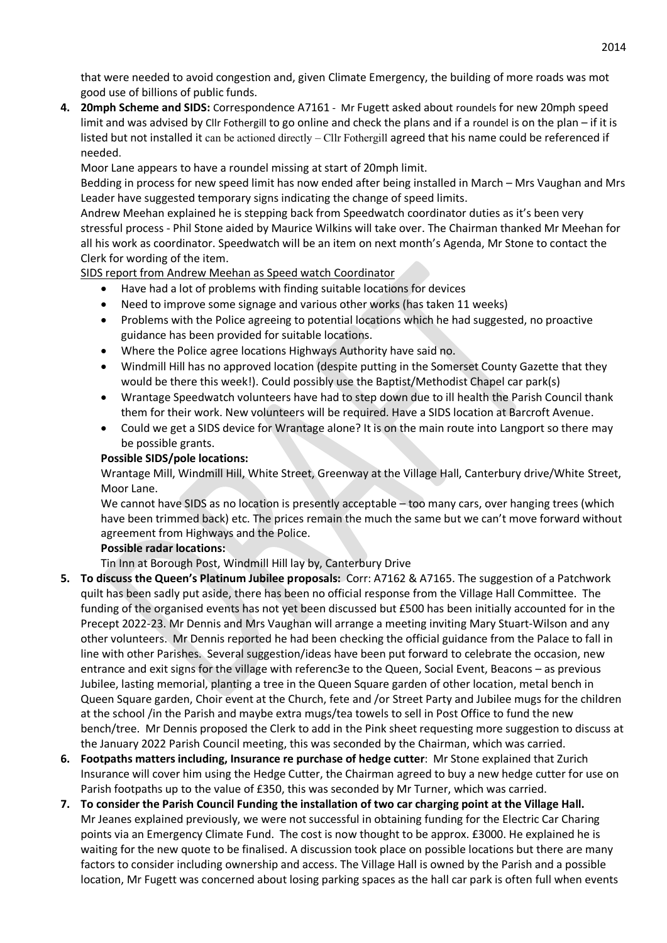that were needed to avoid congestion and, given Climate Emergency, the building of more roads was mot good use of billions of public funds.

**4. 20mph Scheme and SIDS:** Correspondence A7161 - Mr Fugett asked about roundels for new 20mph speed limit and was advised by Cllr Fothergill to go online and check the plans and if a roundel is on the plan – if it is listed but not installed it can be actioned directly – Cllr Fothergill agreed that his name could be referenced if needed.

Moor Lane appears to have a roundel missing at start of 20mph limit.

Bedding in process for new speed limit has now ended after being installed in March – Mrs Vaughan and Mrs Leader have suggested temporary signs indicating the change of speed limits.

Andrew Meehan explained he is stepping back from Speedwatch coordinator duties as it's been very stressful process - Phil Stone aided by Maurice Wilkins will take over. The Chairman thanked Mr Meehan for all his work as coordinator. Speedwatch will be an item on next month's Agenda, Mr Stone to contact the Clerk for wording of the item.

SIDS report from Andrew Meehan as Speed watch Coordinator

- Have had a lot of problems with finding suitable locations for devices
- Need to improve some signage and various other works (has taken 11 weeks)
- Problems with the Police agreeing to potential locations which he had suggested, no proactive guidance has been provided for suitable locations.
- Where the Police agree locations Highways Authority have said no.
- Windmill Hill has no approved location (despite putting in the Somerset County Gazette that they would be there this week!). Could possibly use the Baptist/Methodist Chapel car park(s)
- Wrantage Speedwatch volunteers have had to step down due to ill health the Parish Council thank them for their work. New volunteers will be required. Have a SIDS location at Barcroft Avenue.
- Could we get a SIDS device for Wrantage alone? It is on the main route into Langport so there may be possible grants.

# **Possible SIDS/pole locations:**

Wrantage Mill, Windmill Hill, White Street, Greenway at the Village Hall, Canterbury drive/White Street, Moor Lane.

We cannot have SIDS as no location is presently acceptable – too many cars, over hanging trees (which have been trimmed back) etc. The prices remain the much the same but we can't move forward without agreement from Highways and the Police.

# **Possible radar locations:**

Tin Inn at Borough Post, Windmill Hill lay by, Canterbury Drive

- **5. To discuss the Queen's Platinum Jubilee proposals:** Corr: A7162 & A7165. The suggestion of a Patchwork quilt has been sadly put aside, there has been no official response from the Village Hall Committee. The funding of the organised events has not yet been discussed but £500 has been initially accounted for in the Precept 2022-23. Mr Dennis and Mrs Vaughan will arrange a meeting inviting Mary Stuart-Wilson and any other volunteers. Mr Dennis reported he had been checking the official guidance from the Palace to fall in line with other Parishes. Several suggestion/ideas have been put forward to celebrate the occasion, new entrance and exit signs for the village with referenc3e to the Queen, Social Event, Beacons – as previous Jubilee, lasting memorial, planting a tree in the Queen Square garden of other location, metal bench in Queen Square garden, Choir event at the Church, fete and /or Street Party and Jubilee mugs for the children at the school /in the Parish and maybe extra mugs/tea towels to sell in Post Office to fund the new bench/tree. Mr Dennis proposed the Clerk to add in the Pink sheet requesting more suggestion to discuss at the January 2022 Parish Council meeting, this was seconded by the Chairman, which was carried.
- **6. Footpaths matters including, Insurance re purchase of hedge cutter**: Mr Stone explained that Zurich Insurance will cover him using the Hedge Cutter, the Chairman agreed to buy a new hedge cutter for use on Parish footpaths up to the value of £350, this was seconded by Mr Turner, which was carried.
- **7. To consider the Parish Council Funding the installation of two car charging point at the Village Hall.** Mr Jeanes explained previously, we were not successful in obtaining funding for the Electric Car Charing points via an Emergency Climate Fund. The cost is now thought to be approx. £3000. He explained he is waiting for the new quote to be finalised. A discussion took place on possible locations but there are many factors to consider including ownership and access. The Village Hall is owned by the Parish and a possible location, Mr Fugett was concerned about losing parking spaces as the hall car park is often full when events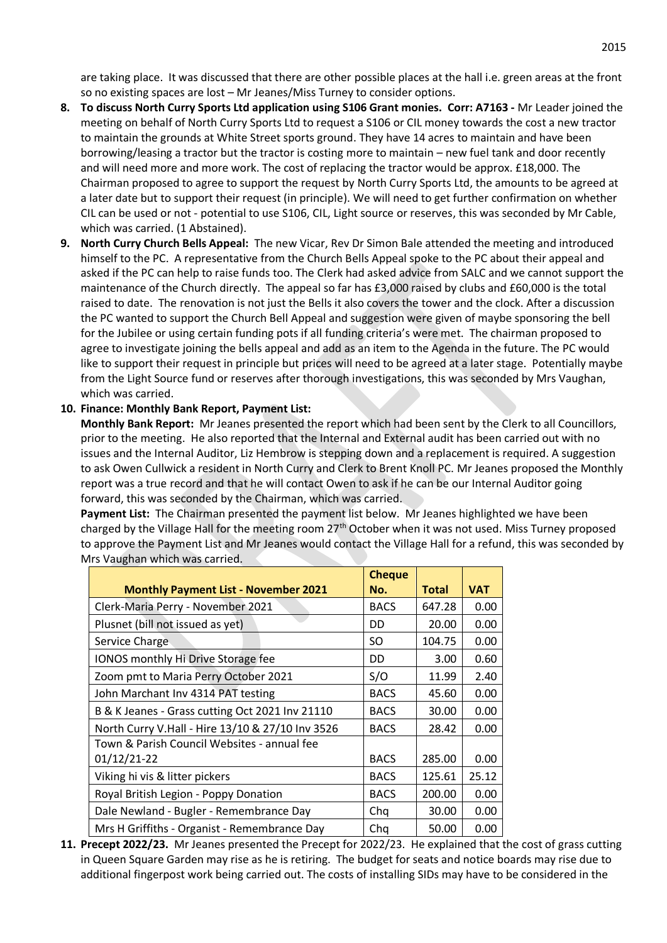are taking place. It was discussed that there are other possible places at the hall i.e. green areas at the front so no existing spaces are lost – Mr Jeanes/Miss Turney to consider options.

- **8. To discuss North Curry Sports Ltd application using S106 Grant monies. Corr: A7163 -** Mr Leader joined the meeting on behalf of North Curry Sports Ltd to request a S106 or CIL money towards the cost a new tractor to maintain the grounds at White Street sports ground. They have 14 acres to maintain and have been borrowing/leasing a tractor but the tractor is costing more to maintain – new fuel tank and door recently and will need more and more work. The cost of replacing the tractor would be approx. £18,000. The Chairman proposed to agree to support the request by North Curry Sports Ltd, the amounts to be agreed at a later date but to support their request (in principle). We will need to get further confirmation on whether CIL can be used or not - potential to use S106, CIL, Light source or reserves, this was seconded by Mr Cable, which was carried. (1 Abstained).
- **9. North Curry Church Bells Appeal:** The new Vicar, Rev Dr Simon Bale attended the meeting and introduced himself to the PC. A representative from the Church Bells Appeal spoke to the PC about their appeal and asked if the PC can help to raise funds too. The Clerk had asked advice from SALC and we cannot support the maintenance of the Church directly. The appeal so far has £3,000 raised by clubs and £60,000 is the total raised to date. The renovation is not just the Bells it also covers the tower and the clock. After a discussion the PC wanted to support the Church Bell Appeal and suggestion were given of maybe sponsoring the bell for the Jubilee or using certain funding pots if all funding criteria's were met. The chairman proposed to agree to investigate joining the bells appeal and add as an item to the Agenda in the future. The PC would like to support their request in principle but prices will need to be agreed at a later stage. Potentially maybe from the Light Source fund or reserves after thorough investigations, this was seconded by Mrs Vaughan, which was carried.

#### **10. Finance: Monthly Bank Report, Payment List:**

**Monthly Bank Report:** Mr Jeanes presented the report which had been sent by the Clerk to all Councillors, prior to the meeting. He also reported that the Internal and External audit has been carried out with no issues and the Internal Auditor, Liz Hembrow is stepping down and a replacement is required. A suggestion to ask Owen Cullwick a resident in North Curry and Clerk to Brent Knoll PC. Mr Jeanes proposed the Monthly report was a true record and that he will contact Owen to ask if he can be our Internal Auditor going forward, this was seconded by the Chairman, which was carried.

**Payment List:** The Chairman presented the payment list below. Mr Jeanes highlighted we have been charged by the Village Hall for the meeting room 27<sup>th</sup> October when it was not used. Miss Turney proposed to approve the Payment List and Mr Jeanes would contact the Village Hall for a refund, this was seconded by Mrs Vaughan which was carried.

|                                                  | <b>Cheque</b> |              |            |
|--------------------------------------------------|---------------|--------------|------------|
| <b>Monthly Payment List - November 2021</b>      | No.           | <b>Total</b> | <b>VAT</b> |
| Clerk-Maria Perry - November 2021                | <b>BACS</b>   | 647.28       | 0.00       |
| Plusnet (bill not issued as yet)                 | DD            | 20.00        | 0.00       |
| Service Charge                                   | SO.           | 104.75       | 0.00       |
| IONOS monthly Hi Drive Storage fee               | DD            | 3.00         | 0.60       |
| Zoom pmt to Maria Perry October 2021             | S/O           | 11.99        | 2.40       |
| John Marchant Inv 4314 PAT testing               | <b>BACS</b>   | 45.60        | 0.00       |
| B & K Jeanes - Grass cutting Oct 2021 Inv 21110  | <b>BACS</b>   | 30.00        | 0.00       |
| North Curry V.Hall - Hire 13/10 & 27/10 Inv 3526 | <b>BACS</b>   | 28.42        | 0.00       |
| Town & Parish Council Websites - annual fee      |               |              |            |
| 01/12/21-22                                      | <b>BACS</b>   | 285.00       | 0.00       |
| Viking hi vis & litter pickers                   | <b>BACS</b>   | 125.61       | 25.12      |
| Royal British Legion - Poppy Donation            | <b>BACS</b>   | 200.00       | 0.00       |
| Dale Newland - Bugler - Remembrance Day          | Chq           | 30.00        | 0.00       |
| Mrs H Griffiths - Organist - Remembrance Day     | Cha           | 50.00        | 0.00       |

**11. Precept 2022/23.** Mr Jeanes presented the Precept for 2022/23. He explained that the cost of grass cutting in Queen Square Garden may rise as he is retiring. The budget for seats and notice boards may rise due to additional fingerpost work being carried out. The costs of installing SIDs may have to be considered in the